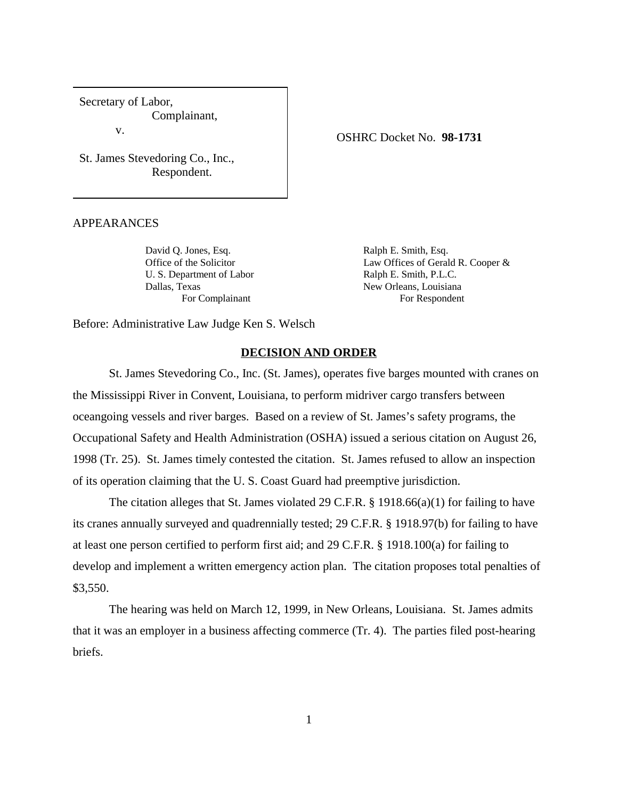Secretary of Labor, Complainant, v.

St. James Stevedoring Co., Inc., Respondent.

APPEARANCES

David Q. Jones, Esq. Ralph E. Smith, Esq. U. S. Department of Labor Ralph E. Smith, P.L.C. Dallas, Texas New Orleans, Louisiana For Complainant For Respondent

Office of the Solicitor Law Offices of Gerald R. Cooper &

Before: Administrative Law Judge Ken S. Welsch

## **DECISION AND ORDER**

St. James Stevedoring Co., Inc. (St. James), operates five barges mounted with cranes on the Mississippi River in Convent, Louisiana, to perform midriver cargo transfers between oceangoing vessels and river barges. Based on a review of St. James's safety programs, the Occupational Safety and Health Administration (OSHA) issued a serious citation on August 26, 1998 (Tr. 25). St. James timely contested the citation. St. James refused to allow an inspection of its operation claiming that the U. S. Coast Guard had preemptive jurisdiction.

The citation alleges that St. James violated 29 C.F.R. § 1918.66(a)(1) for failing to have its cranes annually surveyed and quadrennially tested; 29 C.F.R. § 1918.97(b) for failing to have at least one person certified to perform first aid; and 29 C.F.R. § 1918.100(a) for failing to develop and implement a written emergency action plan. The citation proposes total penalties of \$3,550.

The hearing was held on March 12, 1999, in New Orleans, Louisiana. St. James admits that it was an employer in a business affecting commerce (Tr. 4). The parties filed post-hearing briefs.

OSHRC Docket No. **98-1731**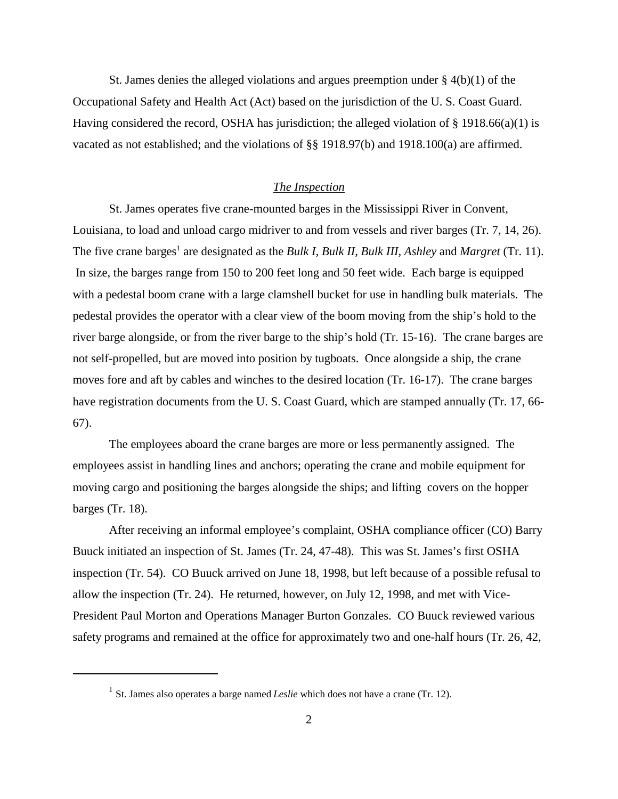St. James denies the alleged violations and argues preemption under  $\S$  4(b)(1) of the Occupational Safety and Health Act (Act) based on the jurisdiction of the U. S. Coast Guard. Having considered the record, OSHA has jurisdiction; the alleged violation of  $\S$  1918.66(a)(1) is vacated as not established; and the violations of §§ 1918.97(b) and 1918.100(a) are affirmed.

## *The Inspection*

St. James operates five crane-mounted barges in the Mississippi River in Convent, Louisiana, to load and unload cargo midriver to and from vessels and river barges (Tr. 7, 14, 26). The five crane barges<sup>1</sup> are designated as the *Bulk I, Bulk II, Bulk III, Ashley* and *Margret* (Tr. 11). In size, the barges range from 150 to 200 feet long and 50 feet wide. Each barge is equipped with a pedestal boom crane with a large clamshell bucket for use in handling bulk materials. The pedestal provides the operator with a clear view of the boom moving from the ship's hold to the river barge alongside, or from the river barge to the ship's hold (Tr. 15-16). The crane barges are not self-propelled, but are moved into position by tugboats. Once alongside a ship, the crane moves fore and aft by cables and winches to the desired location (Tr. 16-17). The crane barges have registration documents from the U. S. Coast Guard, which are stamped annually (Tr. 17, 66- 67).

The employees aboard the crane barges are more or less permanently assigned. The employees assist in handling lines and anchors; operating the crane and mobile equipment for moving cargo and positioning the barges alongside the ships; and lifting covers on the hopper barges (Tr. 18).

After receiving an informal employee's complaint, OSHA compliance officer (CO) Barry Buuck initiated an inspection of St. James (Tr. 24, 47-48). This was St. James's first OSHA inspection (Tr. 54). CO Buuck arrived on June 18, 1998, but left because of a possible refusal to allow the inspection (Tr. 24). He returned, however, on July 12, 1998, and met with Vice-President Paul Morton and Operations Manager Burton Gonzales. CO Buuck reviewed various safety programs and remained at the office for approximately two and one-half hours (Tr. 26, 42,

<sup>&</sup>lt;sup>1</sup> St. James also operates a barge named *Leslie* which does not have a crane (Tr. 12).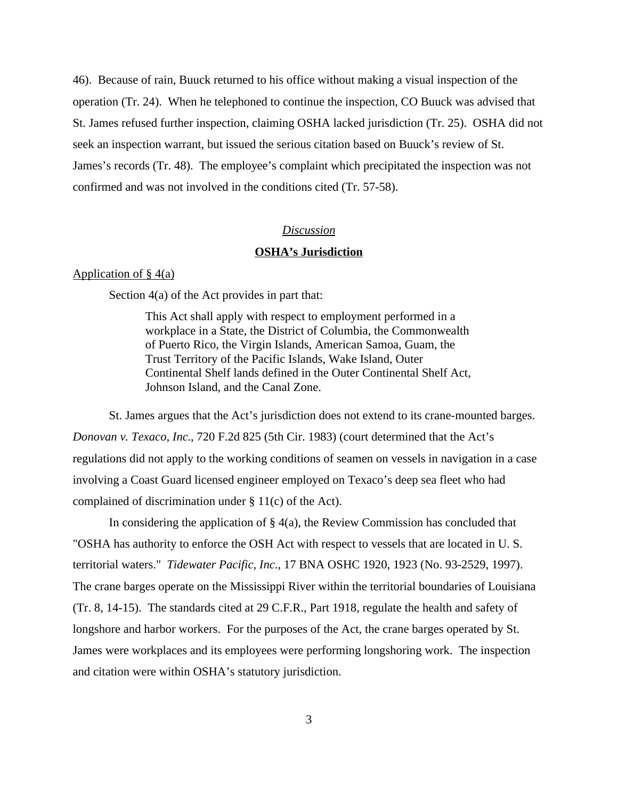46). Because of rain, Buuck returned to his office without making a visual inspection of the operation (Tr. 24). When he telephoned to continue the inspection, CO Buuck was advised that St. James refused further inspection, claiming OSHA lacked jurisdiction (Tr. 25). OSHA did not seek an inspection warrant, but issued the serious citation based on Buuck's review of St. James's records (Tr. 48). The employee's complaint which precipitated the inspection was not confirmed and was not involved in the conditions cited (Tr. 57-58).

## *Discussion*

# **OSHA's Jurisdiction**

### Application of  $\S$  4(a)

Section 4(a) of the Act provides in part that:

This Act shall apply with respect to employment performed in a workplace in a State, the District of Columbia, the Commonwealth of Puerto Rico, the Virgin Islands, American Samoa, Guam, the Trust Territory of the Pacific Islands, Wake Island, Outer Continental Shelf lands defined in the Outer Continental Shelf Act, Johnson Island, and the Canal Zone.

St. James argues that the Act's jurisdiction does not extend to its crane-mounted barges. *Donovan v. Texaco, Inc*., 720 F.2d 825 (5th Cir. 1983) (court determined that the Act's regulations did not apply to the working conditions of seamen on vessels in navigation in a case involving a Coast Guard licensed engineer employed on Texaco's deep sea fleet who had complained of discrimination under § 11(c) of the Act).

In considering the application of  $\S 4(a)$ , the Review Commission has concluded that "OSHA has authority to enforce the OSH Act with respect to vessels that are located in U. S. territorial waters." *Tidewater Pacific, Inc*., 17 BNA OSHC 1920, 1923 (No. 93-2529, 1997). The crane barges operate on the Mississippi River within the territorial boundaries of Louisiana (Tr. 8, 14-15). The standards cited at 29 C.F.R., Part 1918, regulate the health and safety of longshore and harbor workers. For the purposes of the Act, the crane barges operated by St. James were workplaces and its employees were performing longshoring work. The inspection and citation were within OSHA's statutory jurisdiction.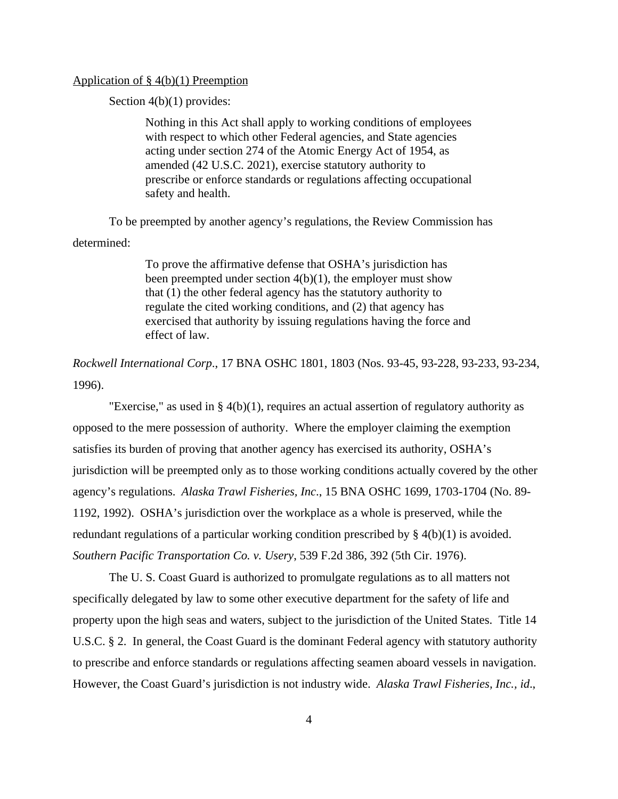## Application of  $\S$  4(b)(1) Preemption

Section 4(b)(1) provides:

Nothing in this Act shall apply to working conditions of employees with respect to which other Federal agencies, and State agencies acting under section 274 of the Atomic Energy Act of 1954, as amended (42 U.S.C. 2021), exercise statutory authority to prescribe or enforce standards or regulations affecting occupational safety and health.

To be preempted by another agency's regulations, the Review Commission has determined:

> To prove the affirmative defense that OSHA's jurisdiction has been preempted under section 4(b)(1), the employer must show that (1) the other federal agency has the statutory authority to regulate the cited working conditions, and (2) that agency has exercised that authority by issuing regulations having the force and effect of law.

*Rockwell International Corp*., 17 BNA OSHC 1801, 1803 (Nos. 93-45, 93-228, 93-233, 93-234, 1996).

"Exercise," as used in  $\S 4(b)(1)$ , requires an actual assertion of regulatory authority as opposed to the mere possession of authority. Where the employer claiming the exemption satisfies its burden of proving that another agency has exercised its authority, OSHA's jurisdiction will be preempted only as to those working conditions actually covered by the other agency's regulations. *Alaska Trawl Fisheries, Inc*., 15 BNA OSHC 1699, 1703-1704 (No. 89- 1192, 1992). OSHA's jurisdiction over the workplace as a whole is preserved, while the redundant regulations of a particular working condition prescribed by  $\S 4(b)(1)$  is avoided. *Southern Pacific Transportation Co. v. Usery*, 539 F.2d 386, 392 (5th Cir. 1976).

The U. S. Coast Guard is authorized to promulgate regulations as to all matters not specifically delegated by law to some other executive department for the safety of life and property upon the high seas and waters, subject to the jurisdiction of the United States. Title 14 U.S.C. § 2. In general, the Coast Guard is the dominant Federal agency with statutory authority to prescribe and enforce standards or regulations affecting seamen aboard vessels in navigation. However, the Coast Guard's jurisdiction is not industry wide. *Alaska Trawl Fisheries, Inc., id*.,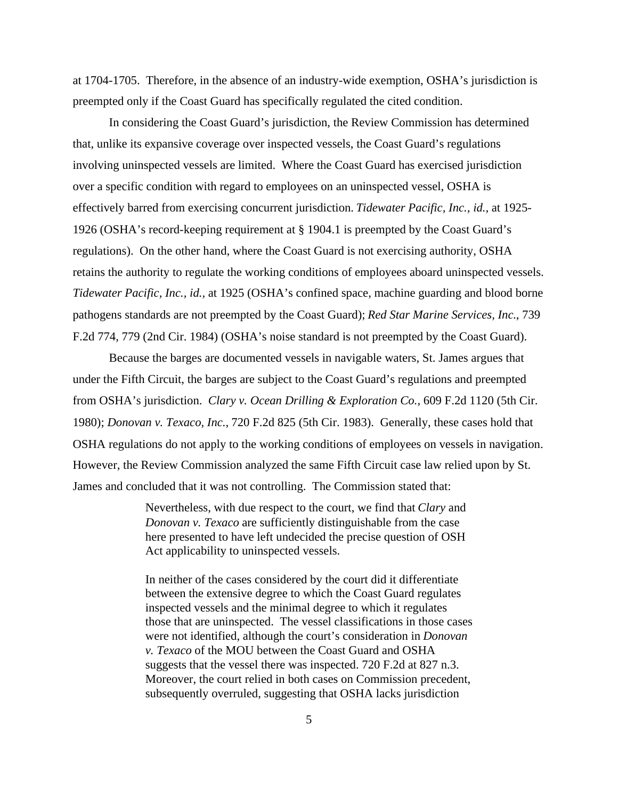at 1704-1705. Therefore, in the absence of an industry-wide exemption, OSHA's jurisdiction is preempted only if the Coast Guard has specifically regulated the cited condition.

In considering the Coast Guard's jurisdiction, the Review Commission has determined that, unlike its expansive coverage over inspected vessels, the Coast Guard's regulations involving uninspected vessels are limited. Where the Coast Guard has exercised jurisdiction over a specific condition with regard to employees on an uninspected vessel, OSHA is effectively barred from exercising concurrent jurisdiction. *Tidewater Pacific, Inc., id.,* at 1925- 1926 (OSHA's record-keeping requirement at § 1904.1 is preempted by the Coast Guard's regulations). On the other hand, where the Coast Guard is not exercising authority, OSHA retains the authority to regulate the working conditions of employees aboard uninspected vessels. *Tidewater Pacific, Inc., id.,* at 1925 (OSHA's confined space, machine guarding and blood borne pathogens standards are not preempted by the Coast Guard); *Red Star Marine Services, Inc*., 739 F.2d 774, 779 (2nd Cir. 1984) (OSHA's noise standard is not preempted by the Coast Guard).

Because the barges are documented vessels in navigable waters, St. James argues that under the Fifth Circuit, the barges are subject to the Coast Guard's regulations and preempted from OSHA's jurisdiction. *Clary v. Ocean Drilling & Exploration Co.,* 609 F.2d 1120 (5th Cir. 1980); *Donovan v. Texaco, Inc.,* 720 F.2d 825 (5th Cir. 1983). Generally, these cases hold that OSHA regulations do not apply to the working conditions of employees on vessels in navigation. However, the Review Commission analyzed the same Fifth Circuit case law relied upon by St. James and concluded that it was not controlling. The Commission stated that:

> Nevertheless, with due respect to the court, we find that *Clary* and *Donovan v. Texaco* are sufficiently distinguishable from the case here presented to have left undecided the precise question of OSH Act applicability to uninspected vessels.

In neither of the cases considered by the court did it differentiate between the extensive degree to which the Coast Guard regulates inspected vessels and the minimal degree to which it regulates those that are uninspected. The vessel classifications in those cases were not identified, although the court's consideration in *Donovan v. Texaco* of the MOU between the Coast Guard and OSHA suggests that the vessel there was inspected. 720 F.2d at 827 n.3. Moreover, the court relied in both cases on Commission precedent, subsequently overruled, suggesting that OSHA lacks jurisdiction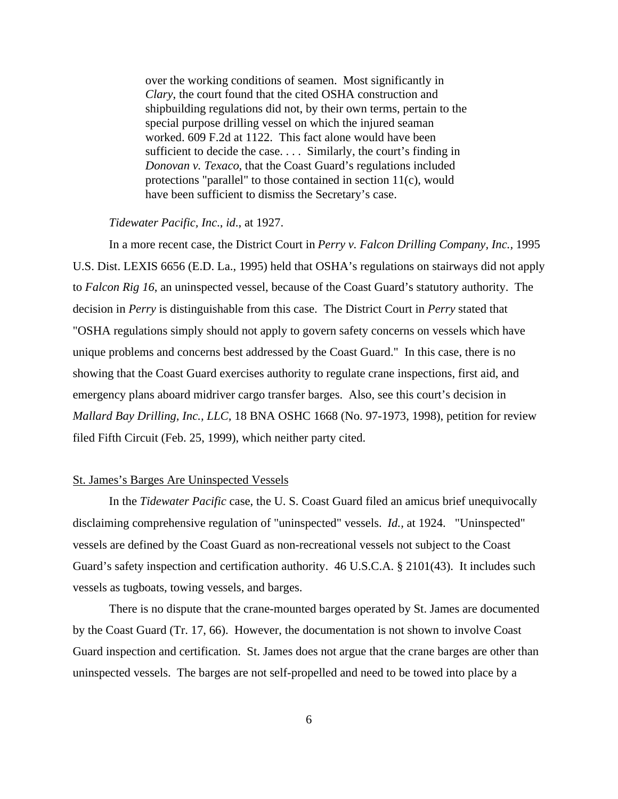over the working conditions of seamen. Most significantly in *Clary*, the court found that the cited OSHA construction and shipbuilding regulations did not, by their own terms, pertain to the special purpose drilling vessel on which the injured seaman worked. 609 F.2d at 1122. This fact alone would have been sufficient to decide the case. . . . Similarly, the court's finding in *Donovan v. Texaco*, that the Coast Guard's regulations included protections "parallel" to those contained in section 11(c), would have been sufficient to dismiss the Secretary's case.

## *Tidewater Pacific, Inc*., *id*., at 1927.

In a more recent case, the District Court in *Perry v. Falcon Drilling Company, Inc.,* 1995 U.S. Dist. LEXIS 6656 (E.D. La., 1995) held that OSHA's regulations on stairways did not apply to *Falcon Rig 16*, an uninspected vessel, because of the Coast Guard's statutory authority. The decision in *Perry* is distinguishable from this case. The District Court in *Perry* stated that "OSHA regulations simply should not apply to govern safety concerns on vessels which have unique problems and concerns best addressed by the Coast Guard." In this case, there is no showing that the Coast Guard exercises authority to regulate crane inspections, first aid, and emergency plans aboard midriver cargo transfer barges. Also, see this court's decision in *Mallard Bay Drilling, Inc., LLC,* 18 BNA OSHC 1668 (No. 97-1973, 1998), petition for review filed Fifth Circuit (Feb. 25, 1999), which neither party cited.

### St. James's Barges Are Uninspected Vessels

In the *Tidewater Pacific* case, the U. S. Coast Guard filed an amicus brief unequivocally disclaiming comprehensive regulation of "uninspected" vessels. *Id.,* at 1924. "Uninspected" vessels are defined by the Coast Guard as non-recreational vessels not subject to the Coast Guard's safety inspection and certification authority. 46 U.S.C.A. § 2101(43). It includes such vessels as tugboats, towing vessels, and barges.

There is no dispute that the crane-mounted barges operated by St. James are documented by the Coast Guard (Tr. 17, 66). However, the documentation is not shown to involve Coast Guard inspection and certification. St. James does not argue that the crane barges are other than uninspected vessels. The barges are not self-propelled and need to be towed into place by a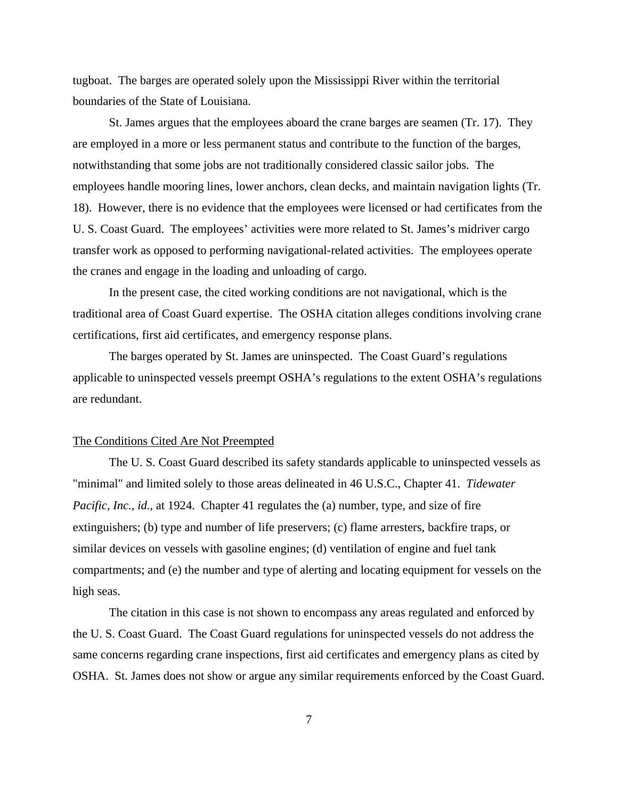tugboat. The barges are operated solely upon the Mississippi River within the territorial boundaries of the State of Louisiana.

St. James argues that the employees aboard the crane barges are seamen (Tr. 17). They are employed in a more or less permanent status and contribute to the function of the barges, notwithstanding that some jobs are not traditionally considered classic sailor jobs. The employees handle mooring lines, lower anchors, clean decks, and maintain navigation lights (Tr. 18). However, there is no evidence that the employees were licensed or had certificates from the U. S. Coast Guard. The employees' activities were more related to St. James's midriver cargo transfer work as opposed to performing navigational-related activities. The employees operate the cranes and engage in the loading and unloading of cargo.

In the present case, the cited working conditions are not navigational, which is the traditional area of Coast Guard expertise. The OSHA citation alleges conditions involving crane certifications, first aid certificates, and emergency response plans.

The barges operated by St. James are uninspected. The Coast Guard's regulations applicable to uninspected vessels preempt OSHA's regulations to the extent OSHA's regulations are redundant.

#### The Conditions Cited Are Not Preempted

The U. S. Coast Guard described its safety standards applicable to uninspected vessels as "minimal" and limited solely to those areas delineated in 46 U.S.C., Chapter 41. *Tidewater Pacific, Inc., id., at 1924.* Chapter 41 regulates the (a) number, type, and size of fire extinguishers; (b) type and number of life preservers; (c) flame arresters, backfire traps, or similar devices on vessels with gasoline engines; (d) ventilation of engine and fuel tank compartments; and (e) the number and type of alerting and locating equipment for vessels on the high seas.

The citation in this case is not shown to encompass any areas regulated and enforced by the U. S. Coast Guard. The Coast Guard regulations for uninspected vessels do not address the same concerns regarding crane inspections, first aid certificates and emergency plans as cited by OSHA. St. James does not show or argue any similar requirements enforced by the Coast Guard.

7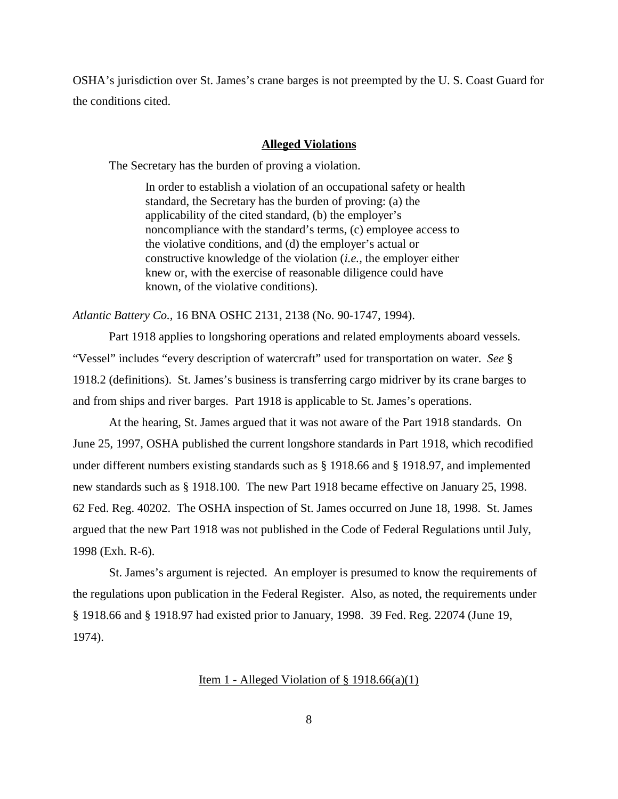OSHA's jurisdiction over St. James's crane barges is not preempted by the U. S. Coast Guard for the conditions cited.

### **Alleged Violations**

The Secretary has the burden of proving a violation.

In order to establish a violation of an occupational safety or health standard, the Secretary has the burden of proving: (a) the applicability of the cited standard, (b) the employer's noncompliance with the standard's terms, (c) employee access to the violative conditions, and (d) the employer's actual or constructive knowledge of the violation (*i.e.,* the employer either knew or, with the exercise of reasonable diligence could have known, of the violative conditions).

*Atlantic Battery Co.,* 16 BNA OSHC 2131, 2138 (No. 90-1747, 1994).

Part 1918 applies to longshoring operations and related employments aboard vessels. "Vessel" includes "every description of watercraft" used for transportation on water. *See* § 1918.2 (definitions). St. James's business is transferring cargo midriver by its crane barges to and from ships and river barges. Part 1918 is applicable to St. James's operations.

At the hearing, St. James argued that it was not aware of the Part 1918 standards. On June 25, 1997, OSHA published the current longshore standards in Part 1918, which recodified under different numbers existing standards such as § 1918.66 and § 1918.97, and implemented new standards such as § 1918.100. The new Part 1918 became effective on January 25, 1998. 62 Fed. Reg. 40202. The OSHA inspection of St. James occurred on June 18, 1998. St. James argued that the new Part 1918 was not published in the Code of Federal Regulations until July, 1998 (Exh. R-6).

St. James's argument is rejected. An employer is presumed to know the requirements of the regulations upon publication in the Federal Register. Also, as noted, the requirements under § 1918.66 and § 1918.97 had existed prior to January, 1998. 39 Fed. Reg. 22074 (June 19, 1974).

Item 1 - Alleged Violation of  $\S$  1918.66(a)(1)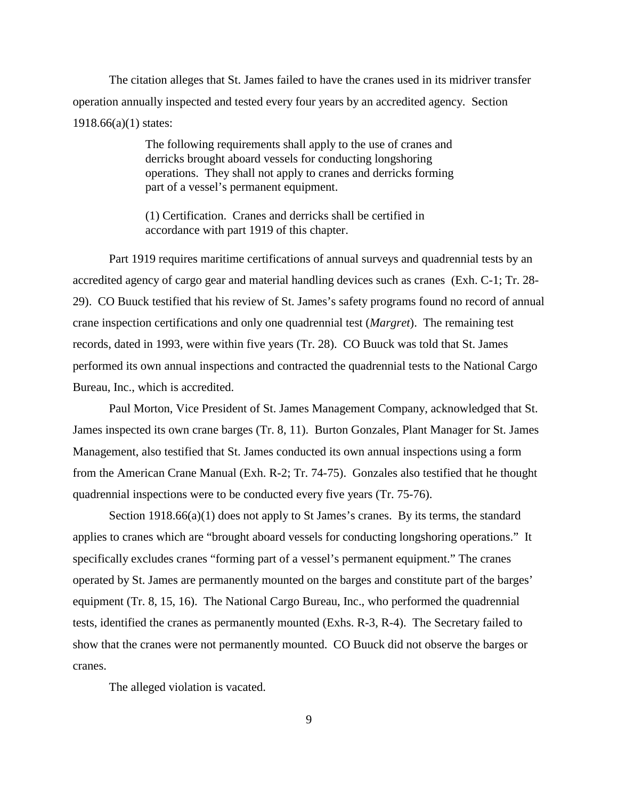The citation alleges that St. James failed to have the cranes used in its midriver transfer operation annually inspected and tested every four years by an accredited agency. Section 1918.66(a)(1) states:

> The following requirements shall apply to the use of cranes and derricks brought aboard vessels for conducting longshoring operations. They shall not apply to cranes and derricks forming part of a vessel's permanent equipment.

(1) Certification. Cranes and derricks shall be certified in accordance with part 1919 of this chapter.

Part 1919 requires maritime certifications of annual surveys and quadrennial tests by an accredited agency of cargo gear and material handling devices such as cranes (Exh. C-1; Tr. 28- 29). CO Buuck testified that his review of St. James's safety programs found no record of annual crane inspection certifications and only one quadrennial test (*Margret*). The remaining test records, dated in 1993, were within five years (Tr. 28). CO Buuck was told that St. James performed its own annual inspections and contracted the quadrennial tests to the National Cargo Bureau, Inc., which is accredited.

Paul Morton, Vice President of St. James Management Company, acknowledged that St. James inspected its own crane barges (Tr. 8, 11). Burton Gonzales, Plant Manager for St. James Management, also testified that St. James conducted its own annual inspections using a form from the American Crane Manual (Exh. R-2; Tr. 74-75). Gonzales also testified that he thought quadrennial inspections were to be conducted every five years (Tr. 75-76).

Section 1918.66(a)(1) does not apply to St James's cranes. By its terms, the standard applies to cranes which are "brought aboard vessels for conducting longshoring operations." It specifically excludes cranes "forming part of a vessel's permanent equipment." The cranes operated by St. James are permanently mounted on the barges and constitute part of the barges' equipment (Tr. 8, 15, 16). The National Cargo Bureau, Inc., who performed the quadrennial tests, identified the cranes as permanently mounted (Exhs. R-3, R-4). The Secretary failed to show that the cranes were not permanently mounted. CO Buuck did not observe the barges or cranes.

The alleged violation is vacated.

9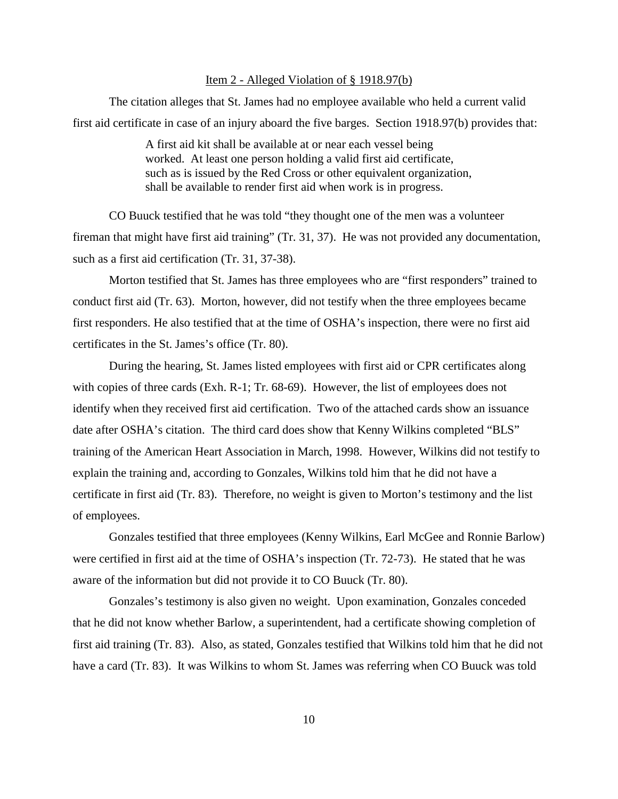## Item 2 - Alleged Violation of § 1918.97(b)

The citation alleges that St. James had no employee available who held a current valid first aid certificate in case of an injury aboard the five barges. Section 1918.97(b) provides that:

> A first aid kit shall be available at or near each vessel being worked. At least one person holding a valid first aid certificate, such as is issued by the Red Cross or other equivalent organization, shall be available to render first aid when work is in progress.

CO Buuck testified that he was told "they thought one of the men was a volunteer fireman that might have first aid training" (Tr. 31, 37). He was not provided any documentation, such as a first aid certification (Tr. 31, 37-38).

Morton testified that St. James has three employees who are "first responders" trained to conduct first aid (Tr. 63). Morton, however, did not testify when the three employees became first responders. He also testified that at the time of OSHA's inspection, there were no first aid certificates in the St. James's office (Tr. 80).

During the hearing, St. James listed employees with first aid or CPR certificates along with copies of three cards (Exh. R-1; Tr. 68-69). However, the list of employees does not identify when they received first aid certification. Two of the attached cards show an issuance date after OSHA's citation. The third card does show that Kenny Wilkins completed "BLS" training of the American Heart Association in March, 1998. However, Wilkins did not testify to explain the training and, according to Gonzales, Wilkins told him that he did not have a certificate in first aid (Tr. 83). Therefore, no weight is given to Morton's testimony and the list of employees.

Gonzales testified that three employees (Kenny Wilkins, Earl McGee and Ronnie Barlow) were certified in first aid at the time of OSHA's inspection (Tr. 72-73). He stated that he was aware of the information but did not provide it to CO Buuck (Tr. 80).

Gonzales's testimony is also given no weight. Upon examination, Gonzales conceded that he did not know whether Barlow, a superintendent, had a certificate showing completion of first aid training (Tr. 83). Also, as stated, Gonzales testified that Wilkins told him that he did not have a card (Tr. 83). It was Wilkins to whom St. James was referring when CO Buuck was told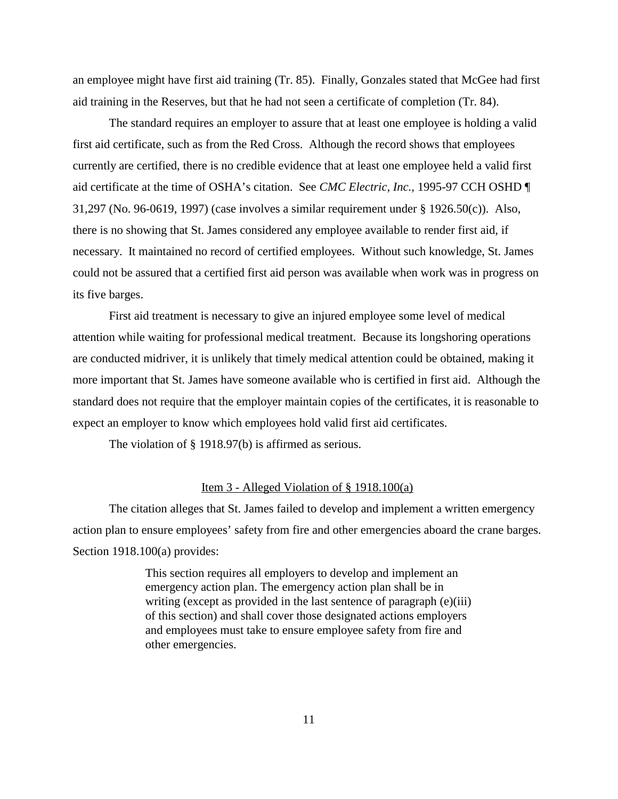an employee might have first aid training (Tr. 85). Finally, Gonzales stated that McGee had first aid training in the Reserves, but that he had not seen a certificate of completion (Tr. 84).

The standard requires an employer to assure that at least one employee is holding a valid first aid certificate, such as from the Red Cross. Although the record shows that employees currently are certified, there is no credible evidence that at least one employee held a valid first aid certificate at the time of OSHA's citation. See *CMC Electric, Inc.,* 1995-97 CCH OSHD ¶ 31,297 (No. 96-0619, 1997) (case involves a similar requirement under § 1926.50(c)). Also, there is no showing that St. James considered any employee available to render first aid, if necessary. It maintained no record of certified employees. Without such knowledge, St. James could not be assured that a certified first aid person was available when work was in progress on its five barges.

First aid treatment is necessary to give an injured employee some level of medical attention while waiting for professional medical treatment. Because its longshoring operations are conducted midriver, it is unlikely that timely medical attention could be obtained, making it more important that St. James have someone available who is certified in first aid. Although the standard does not require that the employer maintain copies of the certificates, it is reasonable to expect an employer to know which employees hold valid first aid certificates.

The violation of § 1918.97(b) is affirmed as serious.

### Item 3 - Alleged Violation of  $\S$  1918.100(a)

The citation alleges that St. James failed to develop and implement a written emergency action plan to ensure employees' safety from fire and other emergencies aboard the crane barges. Section 1918.100(a) provides:

> This section requires all employers to develop and implement an emergency action plan. The emergency action plan shall be in writing (except as provided in the last sentence of paragraph (e)(iii) of this section) and shall cover those designated actions employers and employees must take to ensure employee safety from fire and other emergencies.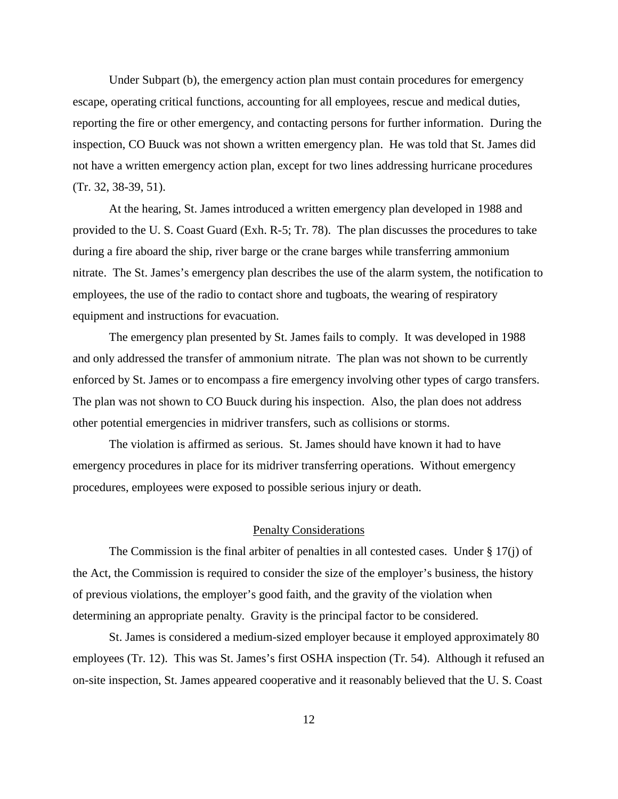Under Subpart (b), the emergency action plan must contain procedures for emergency escape, operating critical functions, accounting for all employees, rescue and medical duties, reporting the fire or other emergency, and contacting persons for further information. During the inspection, CO Buuck was not shown a written emergency plan. He was told that St. James did not have a written emergency action plan, except for two lines addressing hurricane procedures (Tr. 32, 38-39, 51).

At the hearing, St. James introduced a written emergency plan developed in 1988 and provided to the U. S. Coast Guard (Exh. R-5; Tr. 78). The plan discusses the procedures to take during a fire aboard the ship, river barge or the crane barges while transferring ammonium nitrate. The St. James's emergency plan describes the use of the alarm system, the notification to employees, the use of the radio to contact shore and tugboats, the wearing of respiratory equipment and instructions for evacuation.

The emergency plan presented by St. James fails to comply. It was developed in 1988 and only addressed the transfer of ammonium nitrate. The plan was not shown to be currently enforced by St. James or to encompass a fire emergency involving other types of cargo transfers. The plan was not shown to CO Buuck during his inspection. Also, the plan does not address other potential emergencies in midriver transfers, such as collisions or storms.

The violation is affirmed as serious. St. James should have known it had to have emergency procedures in place for its midriver transferring operations. Without emergency procedures, employees were exposed to possible serious injury or death.

### Penalty Considerations

The Commission is the final arbiter of penalties in all contested cases. Under § 17(j) of the Act, the Commission is required to consider the size of the employer's business, the history of previous violations, the employer's good faith, and the gravity of the violation when determining an appropriate penalty. Gravity is the principal factor to be considered.

St. James is considered a medium-sized employer because it employed approximately 80 employees (Tr. 12). This was St. James's first OSHA inspection (Tr. 54). Although it refused an on-site inspection, St. James appeared cooperative and it reasonably believed that the U. S. Coast